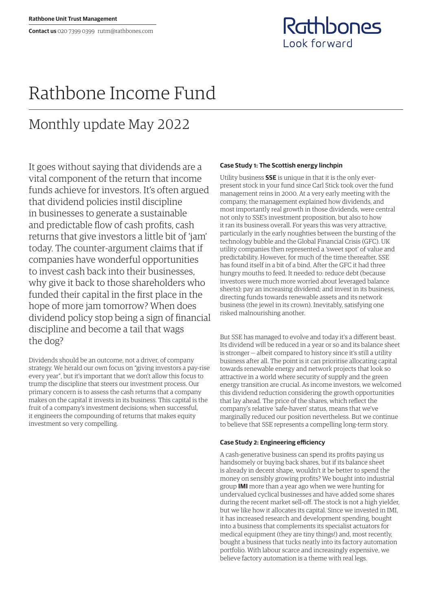Rathbones Look forward

# Rathbone Income Fund

## Monthly update May 2022

It goes without saying that dividends are a vital component of the return that income funds achieve for investors. It's often argued that dividend policies instil discipline in businesses to generate a sustainable and predictable flow of cash profits, cash returns that give investors a little bit of 'jam' today. The counter-argument claims that if companies have wonderful opportunities to invest cash back into their businesses, why give it back to those shareholders who funded their capital in the first place in the hope of more jam tomorrow? When does dividend policy stop being a sign of financial discipline and become a tail that wags the dog?

Dividends should be an outcome, not a driver, of company strategy. We herald our own focus on "giving investors a pay-rise every year", but it's important that we don't allow this focus to trump the discipline that steers our investment process. Our primary concern is to assess the cash returns that a company makes on the capital it invests in its business. This capital is the fruit of a company's investment decisions; when successful, it engineers the compounding of returns that makes equity investment so very compelling.

#### **Case Study 1: The Scottish energy linchpin**

Utility business **SSE** is unique in that it is the only everpresent stock in your fund since Carl Stick took over the fund management reins in 2000. At a very early meeting with the company, the management explained how dividends, and most importantly real growth in those dividends, were central not only to SSE's investment proposition, but also to how it ran its business overall. For years this was very attractive, particularly in the early noughties between the bursting of the technology bubble and the Global Financial Crisis (GFC). UK utility companies then represented a 'sweet spot' of value and predictability. However, for much of the time thereafter, SSE has found itself in a bit of a bind. After the GFC it had three hungry mouths to feed. It needed to: reduce debt (because investors were much more worried about leveraged balance sheets); pay an increasing dividend; and invest in its business, directing funds towards renewable assets and its network business (the jewel in its crown). Inevitably, satisfying one risked malnourishing another.

But SSE has managed to evolve and today it's a different beast. Its dividend will be reduced in a year or so and its balance sheet is stronger — albeit compared to history since it's still a utility business after all. The point is it can prioritise allocating capital towards renewable energy and network projects that look so attractive in a world where security of supply and the green energy transition are crucial. As income investors, we welcomed this dividend reduction considering the growth opportunities that lay ahead. The price of the shares, which reflect the company's relative 'safe-haven' status, means that we've marginally reduced our position nevertheless. But we continue to believe that SSE represents a compelling long-term story.

### **Case Study 2: Engineering efficiency**

A cash-generative business can spend its profits paying us handsomely or buying back shares, but if its balance sheet is already in decent shape, wouldn't it be better to spend the money on sensibly growing profits? We bought into industrial group **IMI** more than a year ago when we were hunting for undervalued cyclical businesses and have added some shares during the recent market sell-off. The stock is not a high yielder, but we like how it allocates its capital. Since we invested in IMI, it has increased research and development spending, bought into a business that complements its specialist actuators for medical equipment (they are tiny things!) and, most recently, bought a business that tucks neatly into its factory automation portfolio. With labour scarce and increasingly expensive, we believe factory automation is a theme with real legs.